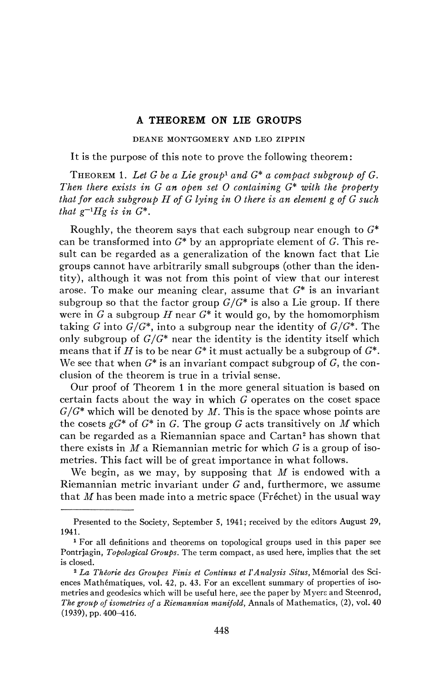## **A THEOREM ON LIE GROUPS**

DEANE MONTGOMERY AND LEO ZIPPIN

It is the purpose of this note to prove the following theorem:

THEOREM 1. Let G be a Lie group<sup>1</sup> and  $G^*$  a compact subgroup of  $G$ . *Then there exists in G an open set O containing* G\* *with the property that for each subgroup H of G lying in O there is an element g of G such that*  $g^{-1}Hg$  *is in*  $G^*$ .

Roughly, the theorem says that each subgroup near enough to  $G^*$ can be transformed into  $G^*$  by an appropriate element of G. This result can be regarded as a generalization of the known fact that Lie groups cannot have arbitrarily small subgroups (other than the identity), although it was not from this point of view that our interest arose. To make our meaning clear, assume that  $G^*$  is an invariant subgroup so that the factor group *G/G\** is also a Lie group. If there were in G a subgroup  $H$  near  $G^*$  it would go, by the homomorphism taking G into *G/G\*,* into a subgroup near the identity of *G/G\*.* The only subgroup of *G/G\** near the identity is the identity itself which means that if *H* is to be near  $G^*$  it must actually be a subgroup of  $G^*$ . We see that when  $G^*$  is an invariant compact subgroup of  $G$ , the conclusion of the theorem is true in a trivial sense.

Our proof of Theorem 1 in the more general situation is based on certain facts about the way in which G operates on the coset space *G/G\** which will be denoted by *M.* This is the space whose points are the cosets  $gG^*$  of  $G^*$  in G. The group G acts transitively on M which can be regarded as a Riemannian space and Cartan<sup>2</sup> has shown that there exists in *M* a Riemannian metric for which G is a group of isometries. This fact will be of great importance in what follows.

We begin, as we may, by supposing that *M* is endowed with a Riemannian metric invariant under G and, furthermore, we assume that *M* has been made into a metric space (Fréchet) in the usual way

Presented to the Society, September 5, 1941; received by the editors August 29, 1941.

<sup>&</sup>lt;sup>1</sup> For all definitions and theorems on topological groups used in this paper see Pontrjagin, *Topological Groups.* The term compact, as used here, implies that the set is closed.

<sup>2</sup>  *La Théorie des Groupes Finis et Continus et VAnalysis Situs,* Mémorial des Sciences Mathématiques, vol. 42, p. 43. For an excellent summary of properties of isometries and geodesies which will be useful here, see the paper by Myers and Steenrod, *The group of isometries of a Riemannian manifold,* Annals of Mathematics, (2), vol. 40 (1939), pp. 400-416.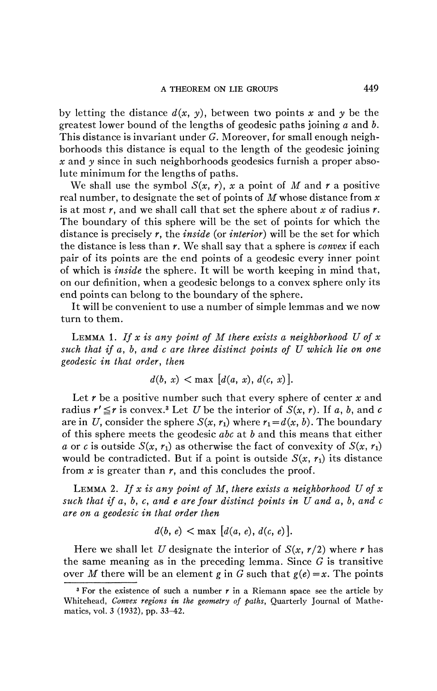by letting the distance  $d(x, y)$ , between two points x and y be the greatest lower bound of the lengths of geodesic paths joining *a* and *b.*  This distance is invariant under *G.* Moreover, for small enough neighborhoods this distance is equal to the length of the geodesic joining *x* and *y* since in such neighborhoods geodesies furnish a proper absolute minimum for the lengths of paths.

We shall use the symbol  $S(x, r)$ , x a point of M and r a positive real number, to designate the set of points of *M* whose distance from *x*  is at most r, and we shall call that set the sphere about *x* of radius *r.*  The boundary of this sphere will be the set of points for which the distance is precisely *r,* the *inside* (or *interior)* will be the set for which the distance is less than *r.* We shall say that a sphere is *convex* if each pair of its points are the end points of a geodesic every inner point of which is *inside* the sphere. It will be worth keeping in mind that, on our definition, when a geodesic belongs to a convex sphere only its end points can belong to the boundary of the sphere.

It will be convenient to use a number of simple lemmas and we now turn to them.

LEMMA 1. *If x is any point of M there exists a neighborhood U of x such that if a, b, and c are three distinct points of U which lie on one geodesic in that order, then* 

$$
d(b, x) < max [d(a, x), d(c, x)].
$$

Let r be a positive number such that every sphere of center x and radius  $r' \leq r$  is convex.<sup>3</sup> Let *U* be the interior of  $S(x, r)$ . If a, b, and c are in U, consider the sphere  $S(x, r_1)$  where  $r_1 = d(x, b)$ . The boundary of this sphere meets the geodesic *abc* at *b* and this means that either *a* or *c* is outside  $S(x, r_1)$  as otherwise the fact of convexity of  $S(x, r_1)$ would be contradicted. But if a point is outside  $S(x, r_1)$  its distance from  $x$  is greater than  $r$ , and this concludes the proof.

LEMMA 2. *If x is any point of M, there exists a neighborhood U of x such that if a, b, c, and e are four distinct points in U and a, b, and c are on a geodesic in that order then* 

$$
d(b, e) < \max [d(a, e), d(c, e)].
$$

Here we shall let *U* designate the interior of  $S(x, r/2)$  where *r* has the same meaning as in the preceding lemma. Since *G* is transitive over *M* there will be an element *g* in *G* such that  $g(e) = x$ . The points

<sup>&</sup>lt;sup>3</sup> For the existence of such a number  $r$  in a Riemann space see the article by Whitehead, *Convex regions in the geometry of paths,* Quarterly Journal of Mathematics, vol. 3 (1932), pp. 33-42.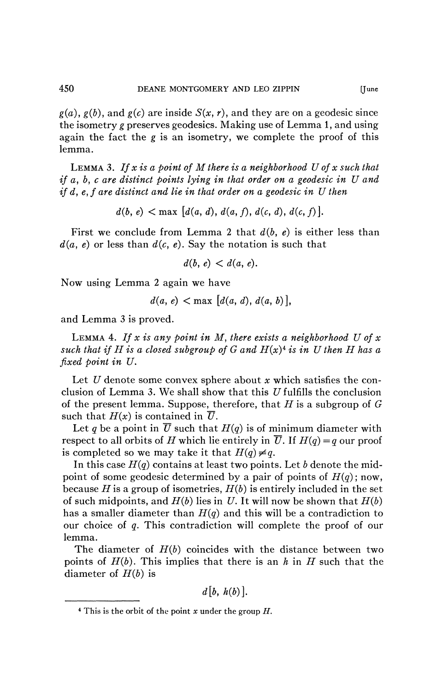$g(a)$ ,  $g(b)$ , and  $g(c)$  are inside  $S(x, r)$ , and they are on a geodesic since the isometry *g* preserves geodesies. Making use of Lemma 1, and using again the fact the *g* is an isometry, we complete the proof of this lemma.

LEMMA 3. *If x is a point of M there is a neighborhood U of x such that if a, b, c are distinct points lying in that order on a geodesic in U and tf d, e,f are distinct and lie in that order on a geodesic in U then* 

 $d(b, e) < \max \left[ d(a, d), d(a, f), d(c, d), d(c, f) \right].$ 

First we conclude from Lemma 2 that  $d(b, e)$  is either less than  $d(a, e)$  or less than  $d(c, e)$ . Say the notation is such that

 $d(b, e) < d(a, e)$ .

Now using Lemma 2 again we have

$$
d(a, e) < \max [d(a, d), d(a, b)],
$$

and Lemma 3 is proved.

LEMMA 4. *If x is any point in M, there exists a neighborhood U of x such that if H is a closed subgroup of G and*  $H(x)^4$  *is in U then H has a fixed point in U.* 

Let *U* denote some convex sphere about *x* which satisfies the conclusion of Lemma 3. We shall show that this  $U$  fulfills the conclusion of the present lemma. Suppose, therefore, that *H* is a subgroup of *G*  such that  $H(x)$  is contained in  $\overline{U}$ .

Let q be a point in  $\overline{U}$  such that  $H(q)$  is of minimum diameter with respect to all orbits of *H* which lie entirely in  $\overline{U}$ . If  $H(q) = q$  our proof is completed so we may take it that  $H(q) \neq q$ .

In this case *H(q)* contains at least two points. Let *b* denote the midpoint of some geodesic determined by a pair of points of  $H(q)$ ; now, because H is a group of isometries,  $H(b)$  is entirely included in the set of such midpoints, and *H(b)* lies in *U.* It will now be shown that *H(b)*  has a smaller diameter than  $H(q)$  and this will be a contradiction to our choice of *q.* This contradiction will complete the proof of our lemma.

The diameter of *H(b)* coincides with the distance between two points of *H(b).* This implies that there is an *h* in *H* such that the diameter of *H{b)* is

*d[b, h(b)].* 

<sup>4</sup> This is the orbit of the point *x* under the group *H.*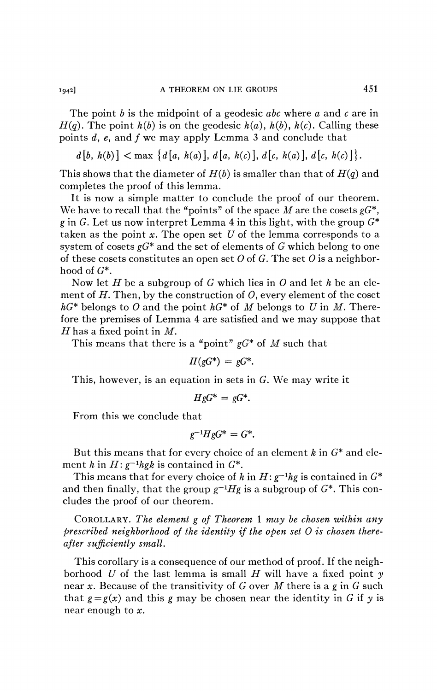The point *b* is the midpoint of a geodesic *abc* where *a* and *c* are in  $H(q)$ . The point  $h(b)$  is on the geodesic  $h(a)$ ,  $h(b)$ ,  $h(c)$ . Calling these points *d, e,* and *f* we may apply Lemma 3 and conclude that

 $d\{b, h(b)\} < \max \{d\{a, h(a)\}, d\{a, h(c)\}, d\{c, h(a)\}, d\{c, h(c)\}\}.$ 

This shows that the diameter of *H(b)* is smaller than that of *H(q)* and completes the proof of this lemma.

It is now a simple matter to conclude the proof of our theorem. We have to recall that the "points" of the space M are the cosets  $gG^*$ , g in G. Let us now interpret Lemma 4 in this light, with the group  $G^*$ taken as the point *x.* The open set *U* of the lemma corresponds to a system of cosets *gG\** and the set of elements of *G* which belong to one of these cosets constitutes an open set *O* of *G.* The set *0* is a neighborhood of  $G^*$ .

Now let *H* be a subgroup of G which lies in *0* and let *h* be an element of  $H$ . Then, by the construction of  $O$ , every element of the coset  $hG^*$  belongs to O and the point  $hG^*$  of M belongs to U in M. Therefore the premises of Lemma 4 are satisfied and we may suppose that *H* has a fixed point in *M.* 

This means that there is a "point" *gG\** of *M* such that

$$
H(gG^*) = gG^*.
$$

This, however, is an equation in sets in G. We may write it

$$
HgG^* = gG^*.
$$

From this we conclude that

$$
g^{-1}HgG^* = G^*.
$$

But this means that for every choice of an element *k* in G\* and element *h* in  $H: g^{-1}hgh$  is contained in  $G^*$ .

This means that for every choice of h in  $H: g^{-1}hg$  is contained in  $G^*$ and then finally, that the group  $g^{-1}Hg$  is a subgroup of  $G^*$ . This concludes the proof of our theorem.

COROLLARY. *The element g of Theorem* 1 *may be chosen within any prescribed neighborhood of the identity if the open set 0 is chosen thereafter sufficiently small.* 

This corollary is a consequence of our method of proof. If the neighborhood *U* of the last lemma is small *H* will have a fixed point *y*  near *x.* Because of the transitivity of G over *M* there is a g in G such that  $g = g(x)$  and this g may be chosen near the identity in G if y is near enough to *x.*